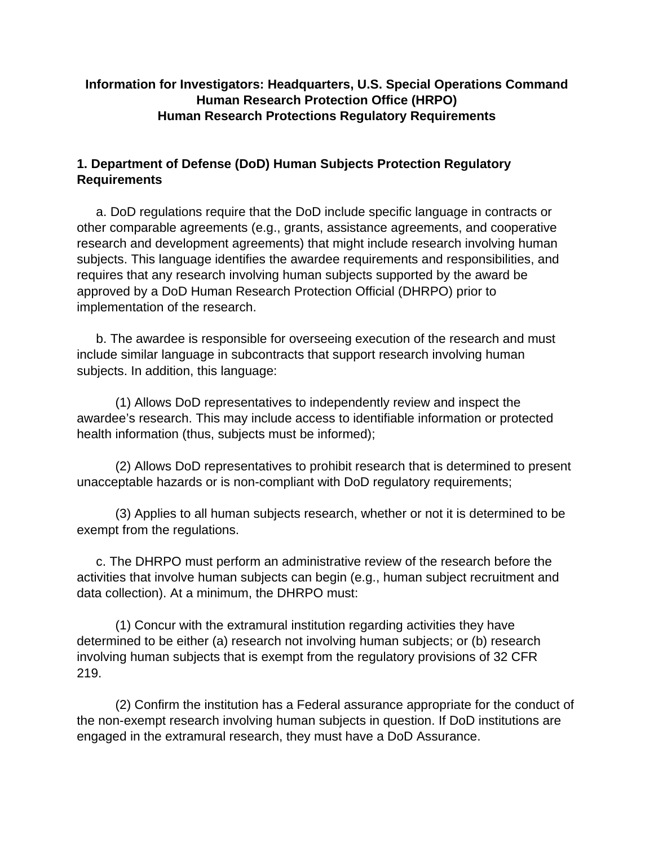# **Information for Investigators: Headquarters, U.S. Special Operations Command Human Research Protection Office (HRPO) Human Research Protections Regulatory Requirements**

# **1. Department of Defense (DoD) Human Subjects Protection Regulatory Requirements**

a. DoD regulations require that the DoD include specific language in contracts or other comparable agreements (e.g., grants, assistance agreements, and cooperative research and development agreements) that might include research involving human subjects. This language identifies the awardee requirements and responsibilities, and requires that any research involving human subjects supported by the award be approved by a DoD Human Research Protection Official (DHRPO) prior to implementation of the research.

b. The awardee is responsible for overseeing execution of the research and must include similar language in subcontracts that support research involving human subjects. In addition, this language:

(1) Allows DoD representatives to independently review and inspect the awardee's research. This may include access to identifiable information or protected health information (thus, subjects must be informed);

(2) Allows DoD representatives to prohibit research that is determined to present unacceptable hazards or is non-compliant with DoD regulatory requirements;

(3) Applies to all human subjects research, whether or not it is determined to be exempt from the regulations.

c. The DHRPO must perform an administrative review of the research before the activities that involve human subjects can begin (e.g., human subject recruitment and data collection). At a minimum, the DHRPO must:

(1) Concur with the extramural institution regarding activities they have determined to be either (a) research not involving human subjects; or (b) research involving human subjects that is exempt from the regulatory provisions of 32 CFR 219.

(2) Confirm the institution has a Federal assurance appropriate for the conduct of the non-exempt research involving human subjects in question. If DoD institutions are engaged in the extramural research, they must have a DoD Assurance.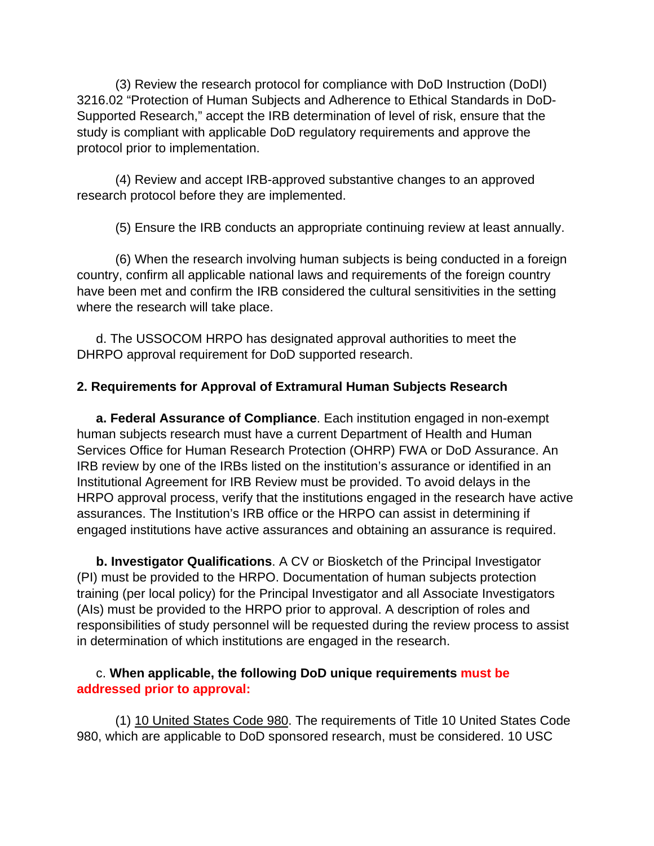(3) Review the research protocol for compliance with DoD Instruction (DoDI) 3216.02 "Protection of Human Subjects and Adherence to Ethical Standards in DoD-Supported Research," accept the IRB determination of level of risk, ensure that the study is compliant with applicable DoD regulatory requirements and approve the protocol prior to implementation.

(4) Review and accept IRB-approved substantive changes to an approved research protocol before they are implemented.

(5) Ensure the IRB conducts an appropriate continuing review at least annually.

(6) When the research involving human subjects is being conducted in a foreign country, confirm all applicable national laws and requirements of the foreign country have been met and confirm the IRB considered the cultural sensitivities in the setting where the research will take place.

d. The USSOCOM HRPO has designated approval authorities to meet the DHRPO approval requirement for DoD supported research.

### **2. Requirements for Approval of Extramural Human Subjects Research**

**a. Federal Assurance of Compliance**. Each institution engaged in non-exempt human subjects research must have a current Department of Health and Human Services Office for Human Research Protection (OHRP) FWA or DoD Assurance. An IRB review by one of the IRBs listed on the institution's assurance or identified in an Institutional Agreement for IRB Review must be provided. To avoid delays in the HRPO approval process, verify that the institutions engaged in the research have active assurances. The Institution's IRB office or the HRPO can assist in determining if engaged institutions have active assurances and obtaining an assurance is required.

**b. Investigator Qualifications**. A CV or Biosketch of the Principal Investigator (PI) must be provided to the HRPO. Documentation of human subjects protection training (per local policy) for the Principal Investigator and all Associate Investigators (AIs) must be provided to the HRPO prior to approval. A description of roles and responsibilities of study personnel will be requested during the review process to assist in determination of which institutions are engaged in the research.

### c. **When applicable, the following DoD unique requirements must be addressed prior to approval:**

(1) 10 United States Code 980. The requirements of Title 10 United States Code 980, which are applicable to DoD sponsored research, must be considered. 10 USC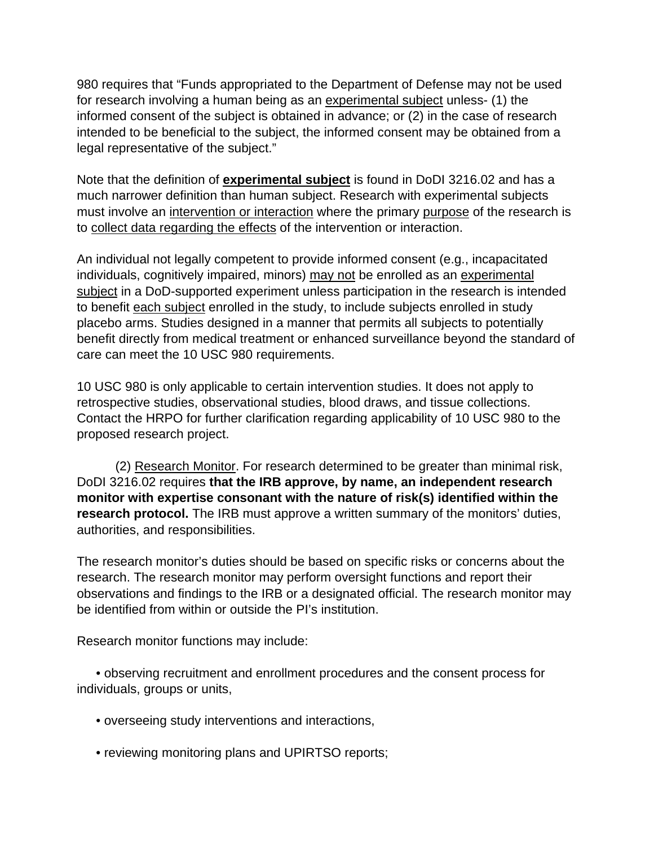980 requires that "Funds appropriated to the Department of Defense may not be used for research involving a human being as an experimental subject unless- (1) the informed consent of the subject is obtained in advance; or (2) in the case of research intended to be beneficial to the subject, the informed consent may be obtained from a legal representative of the subject."

Note that the definition of **experimental subject** is found in DoDI 3216.02 and has a much narrower definition than human subject. Research with experimental subjects must involve an intervention or interaction where the primary purpose of the research is to collect data regarding the effects of the intervention or interaction.

An individual not legally competent to provide informed consent (e.g., incapacitated individuals, cognitively impaired, minors) may not be enrolled as an experimental subject in a DoD-supported experiment unless participation in the research is intended to benefit each subject enrolled in the study, to include subjects enrolled in study placebo arms. Studies designed in a manner that permits all subjects to potentially benefit directly from medical treatment or enhanced surveillance beyond the standard of care can meet the 10 USC 980 requirements.

10 USC 980 is only applicable to certain intervention studies. It does not apply to retrospective studies, observational studies, blood draws, and tissue collections. Contact the HRPO for further clarification regarding applicability of 10 USC 980 to the proposed research project.

(2) Research Monitor. For research determined to be greater than minimal risk, DoDI 3216.02 requires **that the IRB approve, by name, an independent research monitor with expertise consonant with the nature of risk(s) identified within the research protocol.** The IRB must approve a written summary of the monitors' duties, authorities, and responsibilities.

The research monitor's duties should be based on specific risks or concerns about the research. The research monitor may perform oversight functions and report their observations and findings to the IRB or a designated official. The research monitor may be identified from within or outside the PI's institution.

Research monitor functions may include:

• observing recruitment and enrollment procedures and the consent process for individuals, groups or units,

- overseeing study interventions and interactions,
- reviewing monitoring plans and UPIRTSO reports;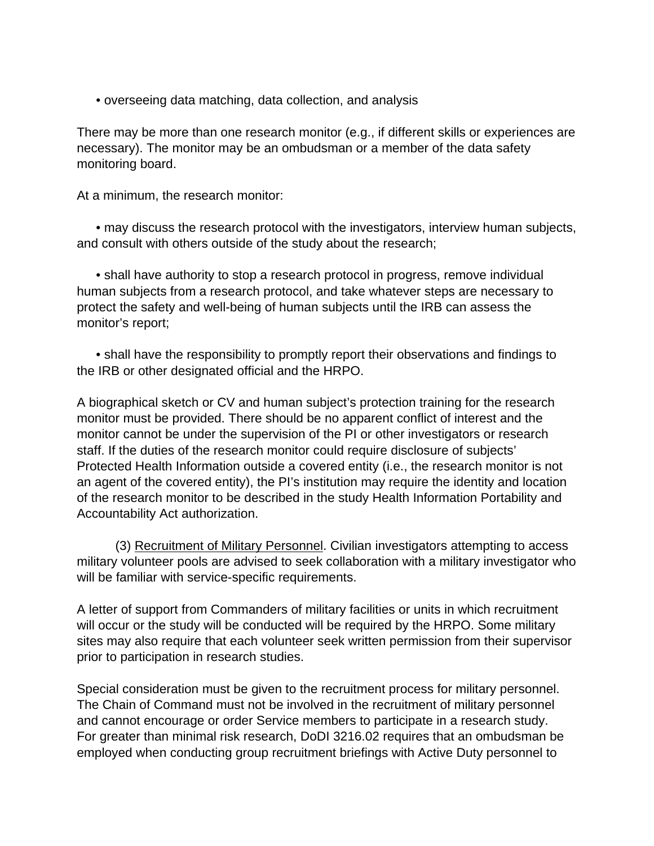• overseeing data matching, data collection, and analysis

There may be more than one research monitor (e.g., if different skills or experiences are necessary). The monitor may be an ombudsman or a member of the data safety monitoring board.

At a minimum, the research monitor:

• may discuss the research protocol with the investigators, interview human subjects, and consult with others outside of the study about the research;

• shall have authority to stop a research protocol in progress, remove individual human subjects from a research protocol, and take whatever steps are necessary to protect the safety and well-being of human subjects until the IRB can assess the monitor's report;

• shall have the responsibility to promptly report their observations and findings to the IRB or other designated official and the HRPO.

A biographical sketch or CV and human subject's protection training for the research monitor must be provided. There should be no apparent conflict of interest and the monitor cannot be under the supervision of the PI or other investigators or research staff. If the duties of the research monitor could require disclosure of subjects' Protected Health Information outside a covered entity (i.e., the research monitor is not an agent of the covered entity), the PI's institution may require the identity and location of the research monitor to be described in the study Health Information Portability and Accountability Act authorization.

(3) Recruitment of Military Personnel. Civilian investigators attempting to access military volunteer pools are advised to seek collaboration with a military investigator who will be familiar with service-specific requirements.

A letter of support from Commanders of military facilities or units in which recruitment will occur or the study will be conducted will be required by the HRPO. Some military sites may also require that each volunteer seek written permission from their supervisor prior to participation in research studies.

Special consideration must be given to the recruitment process for military personnel. The Chain of Command must not be involved in the recruitment of military personnel and cannot encourage or order Service members to participate in a research study. For greater than minimal risk research, DoDI 3216.02 requires that an ombudsman be employed when conducting group recruitment briefings with Active Duty personnel to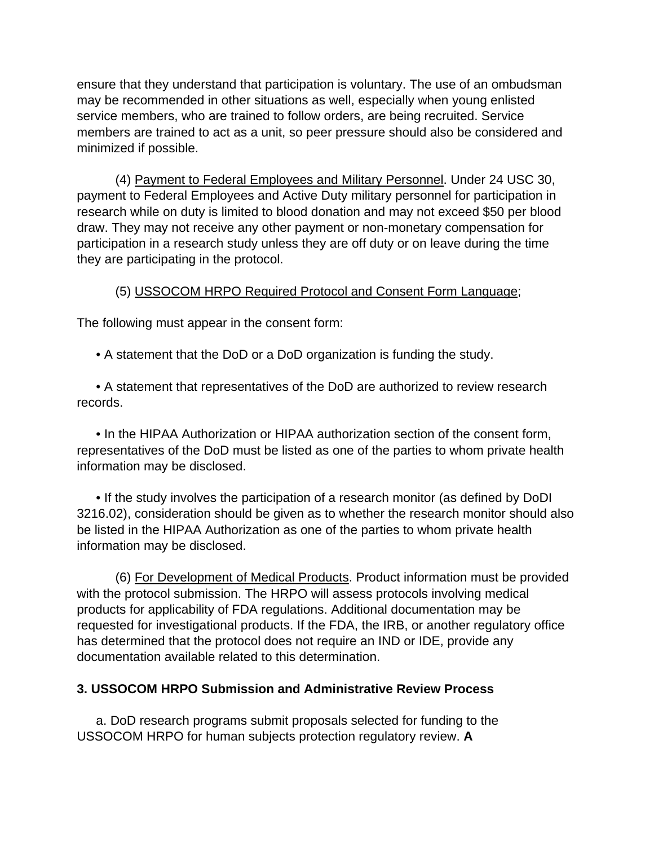ensure that they understand that participation is voluntary. The use of an ombudsman may be recommended in other situations as well, especially when young enlisted service members, who are trained to follow orders, are being recruited. Service members are trained to act as a unit, so peer pressure should also be considered and minimized if possible.

(4) Payment to Federal Employees and Military Personnel. Under 24 USC 30, payment to Federal Employees and Active Duty military personnel for participation in research while on duty is limited to blood donation and may not exceed \$50 per blood draw. They may not receive any other payment or non-monetary compensation for participation in a research study unless they are off duty or on leave during the time they are participating in the protocol.

### (5) USSOCOM HRPO Required Protocol and Consent Form Language;

The following must appear in the consent form:

• A statement that the DoD or a DoD organization is funding the study.

• A statement that representatives of the DoD are authorized to review research records.

• In the HIPAA Authorization or HIPAA authorization section of the consent form, representatives of the DoD must be listed as one of the parties to whom private health information may be disclosed.

• If the study involves the participation of a research monitor (as defined by DoDI 3216.02), consideration should be given as to whether the research monitor should also be listed in the HIPAA Authorization as one of the parties to whom private health information may be disclosed.

(6) For Development of Medical Products. Product information must be provided with the protocol submission. The HRPO will assess protocols involving medical products for applicability of FDA regulations. Additional documentation may be requested for investigational products. If the FDA, the IRB, or another regulatory office has determined that the protocol does not require an IND or IDE, provide any documentation available related to this determination.

### **3. USSOCOM HRPO Submission and Administrative Review Process**

a. DoD research programs submit proposals selected for funding to the USSOCOM HRPO for human subjects protection regulatory review. **A**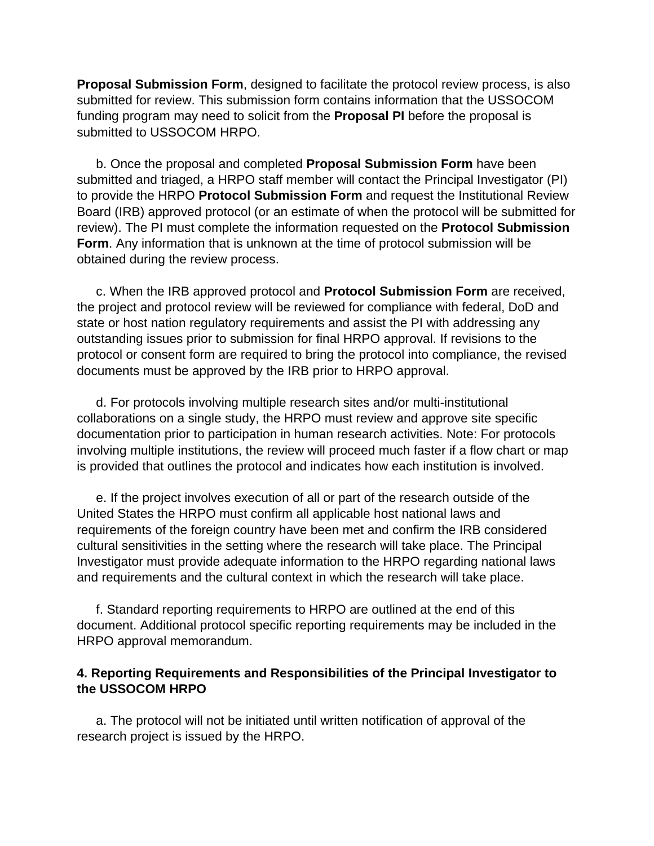**Proposal Submission Form**, designed to facilitate the protocol review process, is also submitted for review. This submission form contains information that the USSOCOM funding program may need to solicit from the **Proposal PI** before the proposal is submitted to USSOCOM HRPO.

b. Once the proposal and completed **Proposal Submission Form** have been submitted and triaged, a HRPO staff member will contact the Principal Investigator (PI) to provide the HRPO **Protocol Submission Form** and request the Institutional Review Board (IRB) approved protocol (or an estimate of when the protocol will be submitted for review). The PI must complete the information requested on the **Protocol Submission Form**. Any information that is unknown at the time of protocol submission will be obtained during the review process.

c. When the IRB approved protocol and **Protocol Submission Form** are received, the project and protocol review will be reviewed for compliance with federal, DoD and state or host nation regulatory requirements and assist the PI with addressing any outstanding issues prior to submission for final HRPO approval. If revisions to the protocol or consent form are required to bring the protocol into compliance, the revised documents must be approved by the IRB prior to HRPO approval.

d. For protocols involving multiple research sites and/or multi-institutional collaborations on a single study, the HRPO must review and approve site specific documentation prior to participation in human research activities. Note: For protocols involving multiple institutions, the review will proceed much faster if a flow chart or map is provided that outlines the protocol and indicates how each institution is involved.

e. If the project involves execution of all or part of the research outside of the United States the HRPO must confirm all applicable host national laws and requirements of the foreign country have been met and confirm the IRB considered cultural sensitivities in the setting where the research will take place. The Principal Investigator must provide adequate information to the HRPO regarding national laws and requirements and the cultural context in which the research will take place.

f. Standard reporting requirements to HRPO are outlined at the end of this document. Additional protocol specific reporting requirements may be included in the HRPO approval memorandum.

#### **4. Reporting Requirements and Responsibilities of the Principal Investigator to the USSOCOM HRPO**

a. The protocol will not be initiated until written notification of approval of the research project is issued by the HRPO.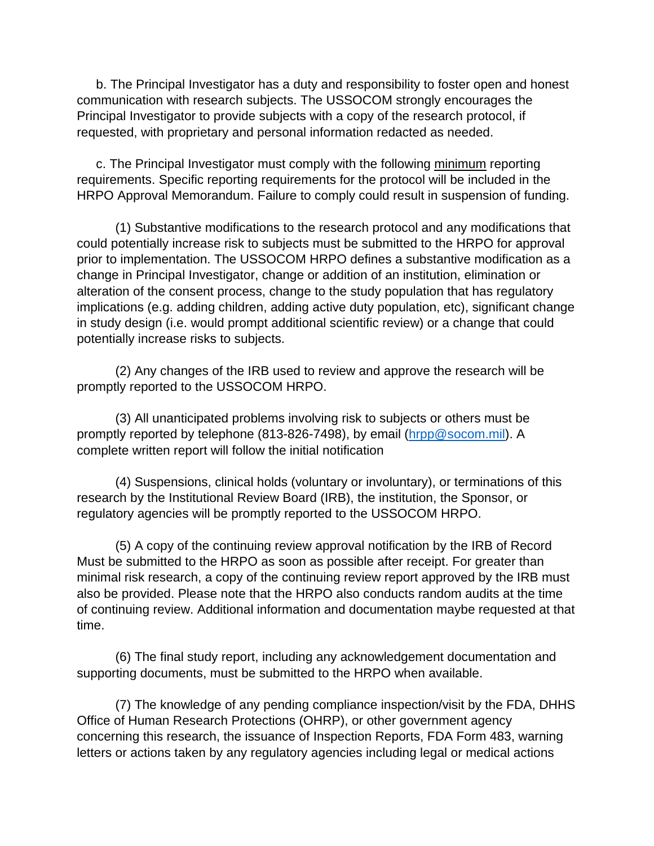b. The Principal Investigator has a duty and responsibility to foster open and honest communication with research subjects. The USSOCOM strongly encourages the Principal Investigator to provide subjects with a copy of the research protocol, if requested, with proprietary and personal information redacted as needed.

c. The Principal Investigator must comply with the following minimum reporting requirements. Specific reporting requirements for the protocol will be included in the HRPO Approval Memorandum. Failure to comply could result in suspension of funding.

(1) Substantive modifications to the research protocol and any modifications that could potentially increase risk to subjects must be submitted to the HRPO for approval prior to implementation. The USSOCOM HRPO defines a substantive modification as a change in Principal Investigator, change or addition of an institution, elimination or alteration of the consent process, change to the study population that has regulatory implications (e.g. adding children, adding active duty population, etc), significant change in study design (i.e. would prompt additional scientific review) or a change that could potentially increase risks to subjects.

(2) Any changes of the IRB used to review and approve the research will be promptly reported to the USSOCOM HRPO.

(3) All unanticipated problems involving risk to subjects or others must be promptly reported by telephone (813-826-7498), by email [\(hrpp@socom.mil\)](mailto:hrpp@socom.mil). A complete written report will follow the initial notification

(4) Suspensions, clinical holds (voluntary or involuntary), or terminations of this research by the Institutional Review Board (IRB), the institution, the Sponsor, or regulatory agencies will be promptly reported to the USSOCOM HRPO.

(5) A copy of the continuing review approval notification by the IRB of Record Must be submitted to the HRPO as soon as possible after receipt. For greater than minimal risk research, a copy of the continuing review report approved by the IRB must also be provided. Please note that the HRPO also conducts random audits at the time of continuing review. Additional information and documentation maybe requested at that time.

(6) The final study report, including any acknowledgement documentation and supporting documents, must be submitted to the HRPO when available.

(7) The knowledge of any pending compliance inspection/visit by the FDA, DHHS Office of Human Research Protections (OHRP), or other government agency concerning this research, the issuance of Inspection Reports, FDA Form 483, warning letters or actions taken by any regulatory agencies including legal or medical actions